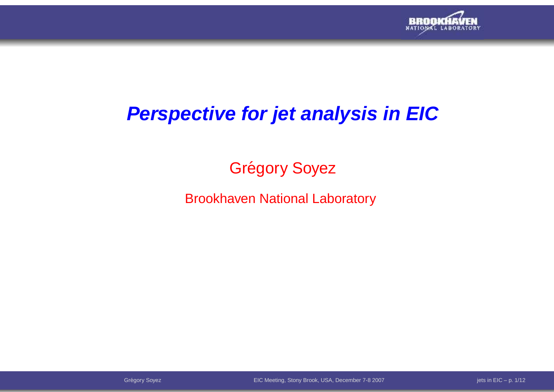

# **Perspective for jet analysis in EIC**

# Grégory Soyez

#### Brookhaven National Laboratory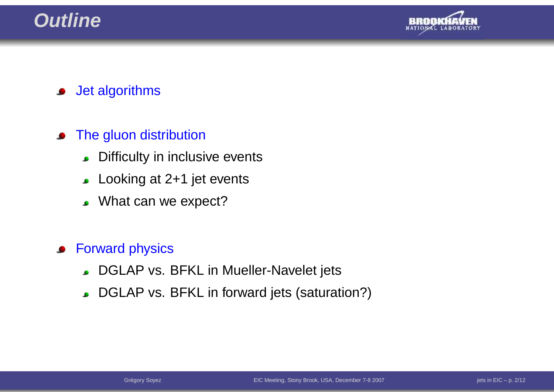# **Outline**



Jet algorithms $\bullet$ 

#### The gluon distribution $\bullet$

- Difficulty in inclusive events $\bullet$
- Looking at 2+1 jet events
- . What can we expect?

#### Forward physics $\bullet$

- **DGLAP vs. BFKL in Mueller-Navelet jets**
- DGLAP vs. BFKL in forward jets (saturation?)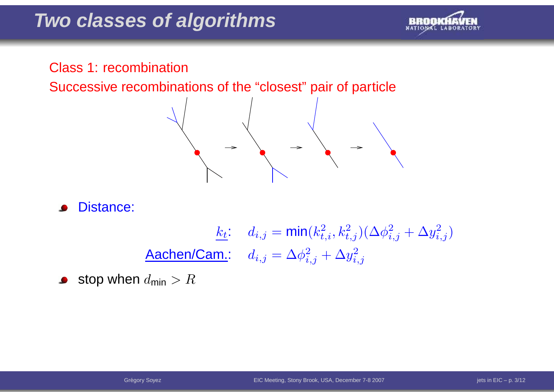

#### Class 1: recombination

Successive recombinations of the "closest" pair of particle



Distance: $\bullet$ 

$$
\frac{k_t}{\text{Aachen/Cam.:}} \quad d_{i,j} = \min(k_{t,i}^2, k_{t,j}^2)(\Delta \phi_{i,j}^2 + \Delta y_{i,j}^2)
$$
\n
$$
\text{Aachen/Cam.:} \quad d_{i,j} = \Delta \phi_{i,j}^2 + \Delta y_{i,j}^2
$$

stop when  $d_{\sf min} > R$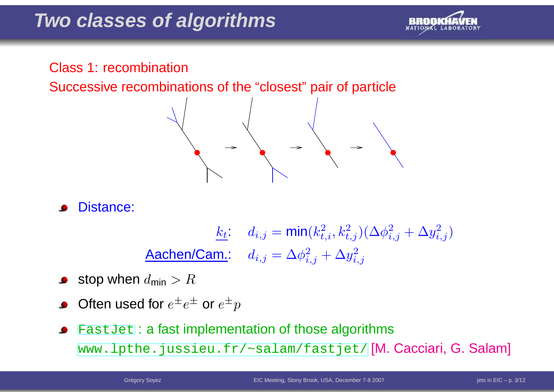

#### Class 1: recombination

Successive recombinations of the "closest" pair of particl e



Distance:

 $k_{\underline{t}}$ :  $d_{i,j} = \textsf{min}(k_{t}^2)$  $_{t,i}^{2},k_{t}^{2}$  $_{t,j}^{2})(\Delta \phi _{i}^{2}$  $_{i,j}^2+\Delta y_{i_j}^2$  $\left(\begin{smallmatrix} 2 \ i,j \end{smallmatrix}\right)$ Aachen/Cam.:  $d_{i,j} = \Delta \phi_i^2$  $\frac{2}{i,j}+\Delta y$ 2 $i,j$ 

- stop when  $d_{\sf min} > R$
- Often used for  $e^\pm e^\pm$  or  $e^\pm$  $\,p$
- [Fast](FastJet)Jet : <sup>a</sup> fast implementation of those algorithms  $\bullet$ [www](www.lpthe.jussieu.fr/~salam/fastjet/).[lpthe](www.lpthe.jussieu.fr/~salam/fastjet/).[jussieu](www.lpthe.jussieu.fr/~salam/fastjet/).[fr/~salam/fastj](www.lpthe.jussieu.fr/~salam/fastjet/)et/ <mark>[M. Cacciari, G. Salam]</mark>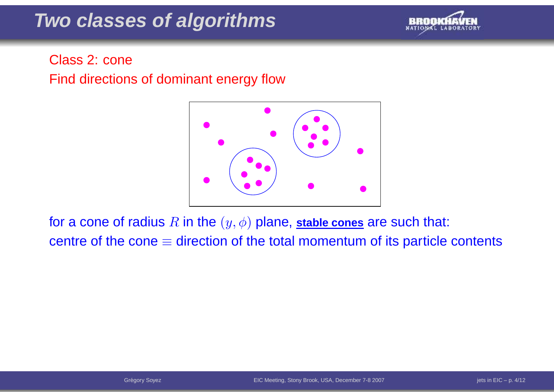

### Class 2: coneFind directions of dominant energy flow



for a cone of radius  $R$  in the  $(y, \phi)$  plane, stable cones are such that: centre of the cone $\equiv$  direction of the total momentum of its particle contents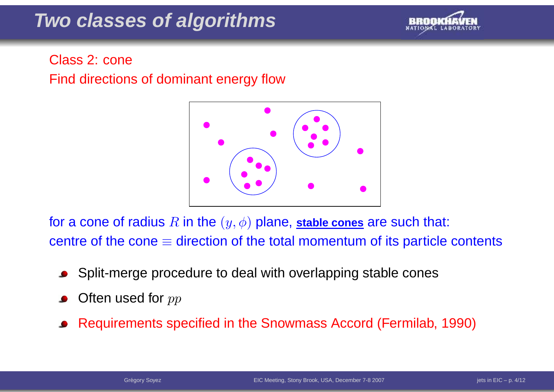

### Class 2: coneFind directions of dominant energy flow



for a cone of radius  $R$  in the  $(y, \phi)$  plane, stable cones are such that: centre of the cone  $\equiv$  direction of the total momentum of its particle contents

- Split-merge procedure to deal with overlapping stable cones
- Often used for  $pp$
- Requirements specified in the Snowmass Accord (Fermilab, 1990)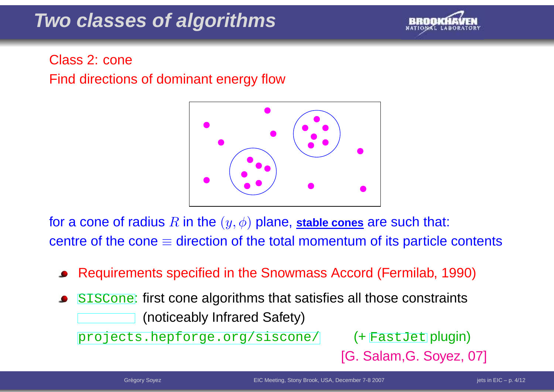

### Class 2: coneFind directions of dominant energy flow



for a cone of radius  $R$  in the  $(y, \phi)$  plane, stable cones are such that: centre of the cone  $\equiv$  direction of the total momentum of its particle contents

- Requirements specified in the Snowmass Accord (Fermilab, 1990)
- ${\tt SISCone:}$  ${\tt SISCone:}$  ${\tt SISCone:}$  first cone algorithms that satisfies all those constraints (noticeably Infrared Safety)

[projects](projects.hepforge.org/siscone/).[hepforge](projects.hepforge.org/siscone/).[org/sisco](projects.hepforge.org/siscone/)ne/ (+ [F](FastJet)as[t](FastJet)Jet plugin)

[G. Salam,G. Soyez, 07]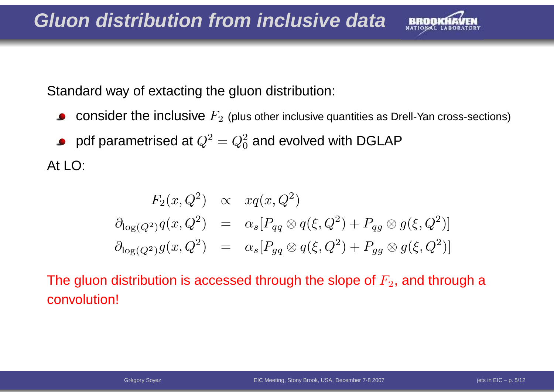

Standard way of extacting the gluon distribution:

- ${\bf consider}$  the inclusive  $F_2$  (plus other inclusive quantities as Drell-Yan cross-sections)  $\bullet$
- pdf parametrised at  $Q^2$  $^{2}=Q_{0}^{2}$  $_0^2$  and evolved with DGLAP

At LO:

$$
F_2(x, Q^2) \propto xq(x, Q^2)
$$
  
\n
$$
\partial_{\log(Q^2)}q(x, Q^2) = \alpha_s[P_{qq} \otimes q(\xi, Q^2) + P_{qg} \otimes g(\xi, Q^2)]
$$
  
\n
$$
\partial_{\log(Q^2)}g(x, Q^2) = \alpha_s[P_{gq} \otimes q(\xi, Q^2) + P_{gg} \otimes g(\xi, Q^2)]
$$

The gluon distribution is accessed through the slope of  $F_2$ , and through a convolution!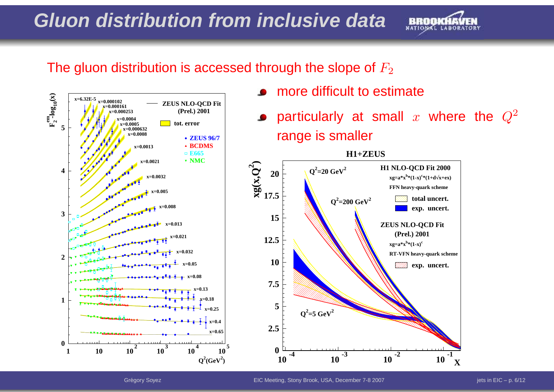# **Gluon distribution from inclusive data**



#### The gluon distribution is accessed through the slope of  $F_2$



- more difficult to estimate
- particularly at small  $x$  where the  $Q^2$ range is smaller

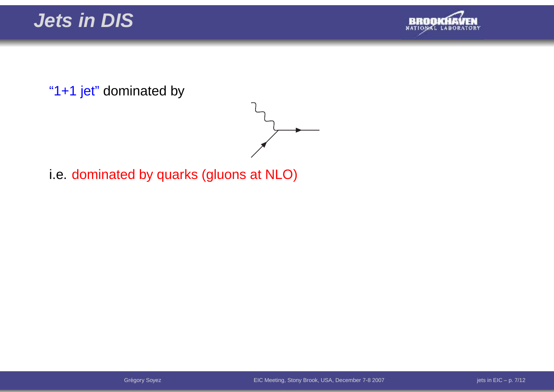



"1+1 jet" dominated by



i.e. dominated by quarks (gluons at NLO)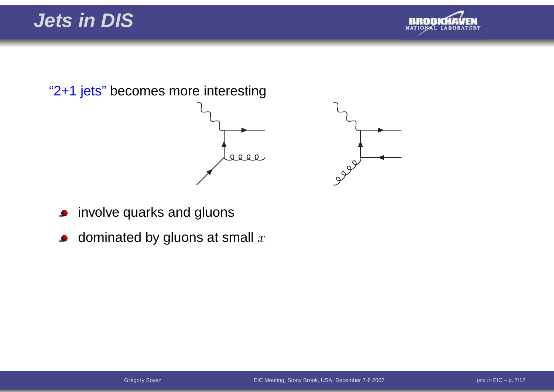**Jets in DIS**





- involve quarks and gluons $\bullet$
- dominated by gluons at small  $x$  $\bullet$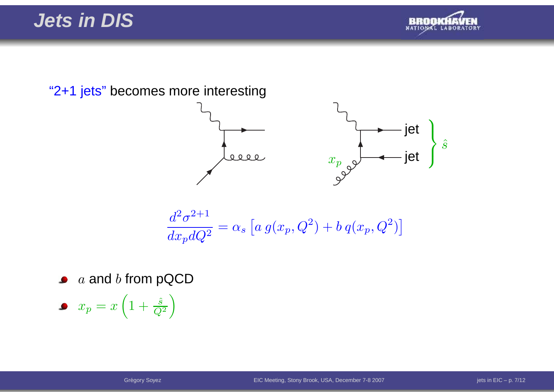## **Jets in DIS**



"2+1 jets" becomes more interesting



$$
\frac{d^2\sigma^{2+1}}{dx_p dQ^2} = \alpha_s \left[ a g(x_p, Q^2) + b q(x_p, Q^2) \right]
$$

 $\emph{a}$  and  $\emph{b}$  from pQCD

 $x_p = x\left(1+\frac{\hat{s}}{Q^2}\right)$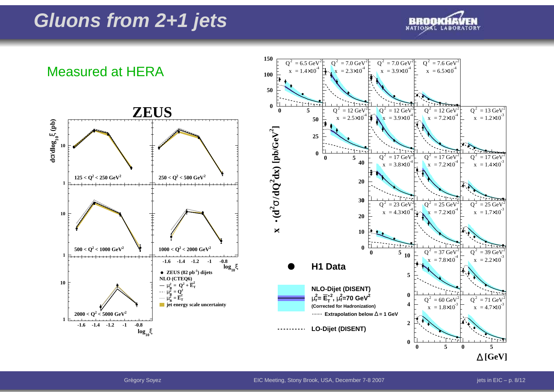# **Gluons from 2+1 jets**



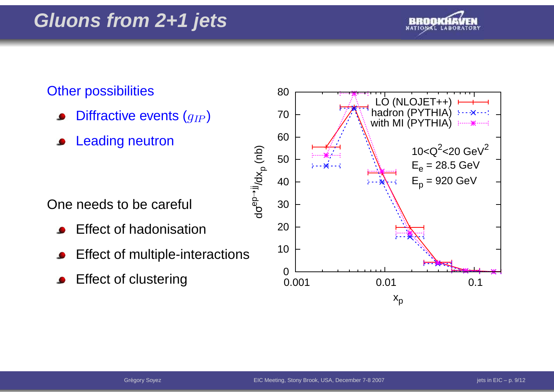

#### **Other possibilities**

- Diffractive events  $(g_{I\hspace{-0.1em}P})$
- Leading neutron

One needs to be careful

- Effect of hadonisation
- Effect of multiple-interactions
- Effect of clustering<sup>0</sup>

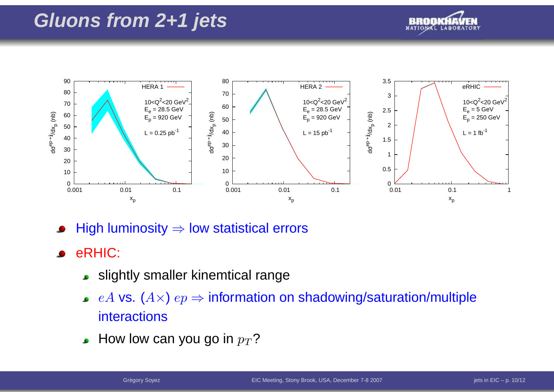# **Gluons from 2+1 jets**





High luminosity⇒ low statistical errors

- eRHIC:
	- slightly smaller kinemtical range
	- $eA$  vs.  $(A\times)$   $ep$   $\Rightarrow$  information on shadowing/saturation/multiple<br>interactions interactions
	- How low can you go in  $p_T$ ?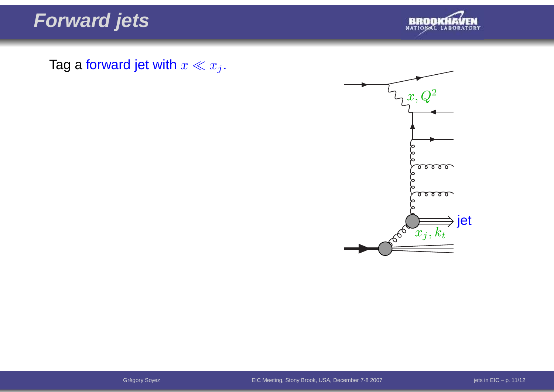**Forward jets**



Tag a forward jet with  $x \ll x_j$ .

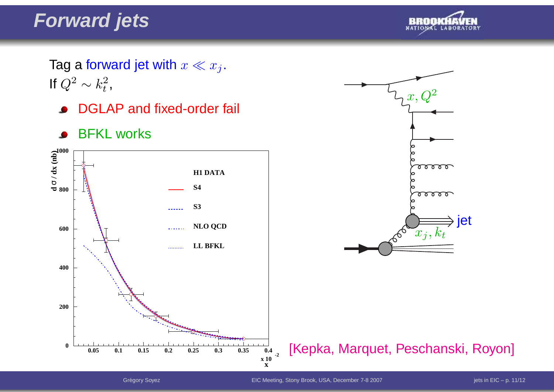# **Forward jets**



Tag a forward jet with  $x \ll x_j$ .<br>If  $\bigcap^2_{\mathcal{A}}$ If  $Q^2 \sim k_t^2$ ,

- DGLAP and fixed-order fail  $\bullet$
- BFKL works $\bullet$





[Kepka, Marquet, Peschanski, Royon]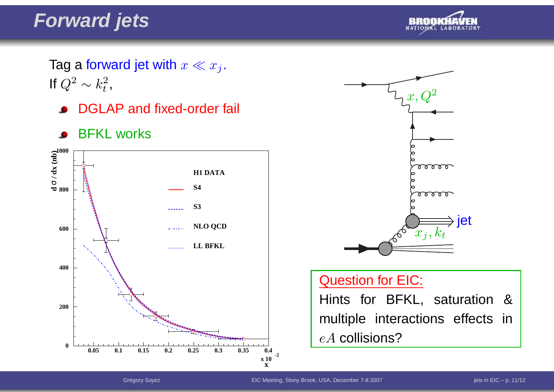# **Forward jets**



Tag a forward jet with  $x \ll x_j$ .<br>If  $\bigcap^2_{\mathcal{A}}$ If  $Q^2 \sim k_t^2$ ,

- **DGLAP** and fixed-order fail
- BFKL works $\bullet$





#### Question for EIC:

Hints for BFKL, saturation & multiple interactions effects in $eA$  collisions?